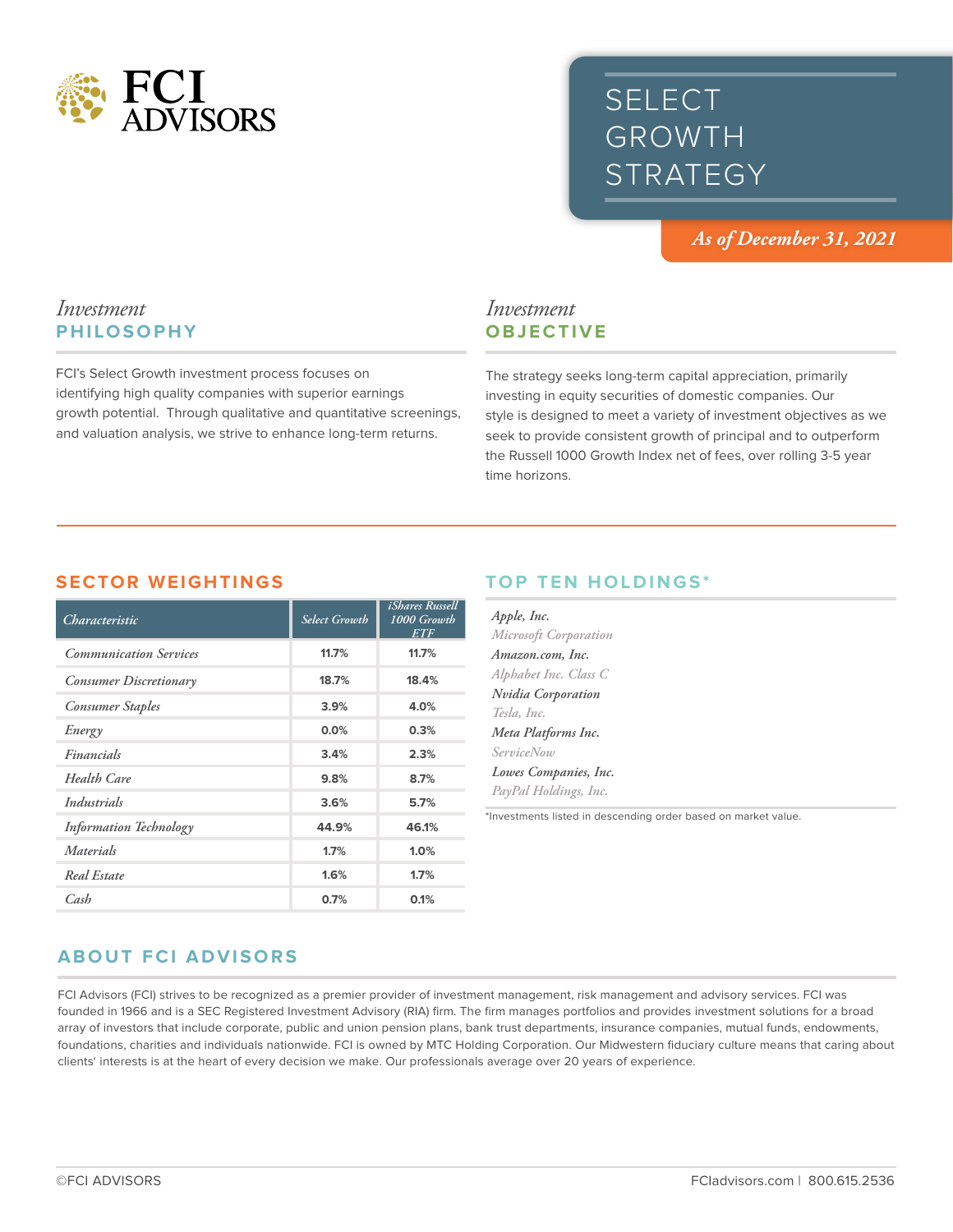

# SELECT GROWTH **STRATEGY**

*As of December 31, 2021*

## *Investment* **PHILOSOPHY**

FCI's Select Growth investment process focuses on identifying high quality companies with superior earnings growth potential. Through qualitative and quantitative screenings, and valuation analysis, we strive to enhance long-term returns.

## *Investment* **OBJECTIVE**

The strategy seeks long-term capital appreciation, primarily investing in equity securities of domestic companies. Our style is designed to meet a variety of investment objectives as we seek to provide consistent growth of principal and to outperform the Russell 1000 Growth Index net of fees, over rolling 3-5 year time horizons.

#### **SECTOR WEIGHTINGS**

| Characteristic                | <b>Select Growth</b> | <i>iShares Russell</i><br>1000 Growth<br>ETF |
|-------------------------------|----------------------|----------------------------------------------|
| <b>Communication Services</b> | 11.7%                | 11.7%                                        |
| Consumer Discretionary        | 18.7%                | 18.4%                                        |
| <b>Consumer Staples</b>       | 3.9%                 | 4.0%                                         |
| Energy                        | 0.0%                 | 0.3%                                         |
| Financials                    | 3.4%                 | 2.3%                                         |
| Health Care                   | 9.8%                 | 8.7%                                         |
| Industrials                   | 3.6%                 | 5.7%                                         |
| <b>Information Technology</b> | 44.9%                | 46.1%                                        |
| Materials                     | 1.7%                 | 1.0%                                         |
| Real Estate                   | 1.6%                 | 1.7%                                         |
| Cash                          | 0.7%                 | 0.1%                                         |

## **TOP TEN HOLDINGS\***

| Apple, Inc.               |  |  |
|---------------------------|--|--|
| Microsoft Corporation     |  |  |
| Amazon.com, Inc.          |  |  |
| Alphabet Inc. Class C     |  |  |
| <b>Nvidia Corporation</b> |  |  |
| Tesla, Inc.               |  |  |
| Meta Platforms Inc.       |  |  |
| <i>ServiceNow</i>         |  |  |
| Lowes Companies, Inc.     |  |  |
| PayPal Holdings, Inc.     |  |  |
|                           |  |  |

\*Investments listed in descending order based on market value.

## **ABOUT FCI ADVISORS**

FCI Advisors (FCI) strives to be recognized as a premier provider of investment management, risk management and advisory services. FCI was founded in 1966 and is a SEC Registered Investment Advisory (RIA) firm. The firm manages portfolios and provides investment solutions for a broad array of investors that include corporate, public and union pension plans, bank trust departments, insurance companies, mutual funds, endowments, foundations, charities and individuals nationwide. FCI is owned by MTC Holding Corporation. Our Midwestern fiduciary culture means that caring about clients' interests is at the heart of every decision we make. Our professionals average over 20 years of experience.